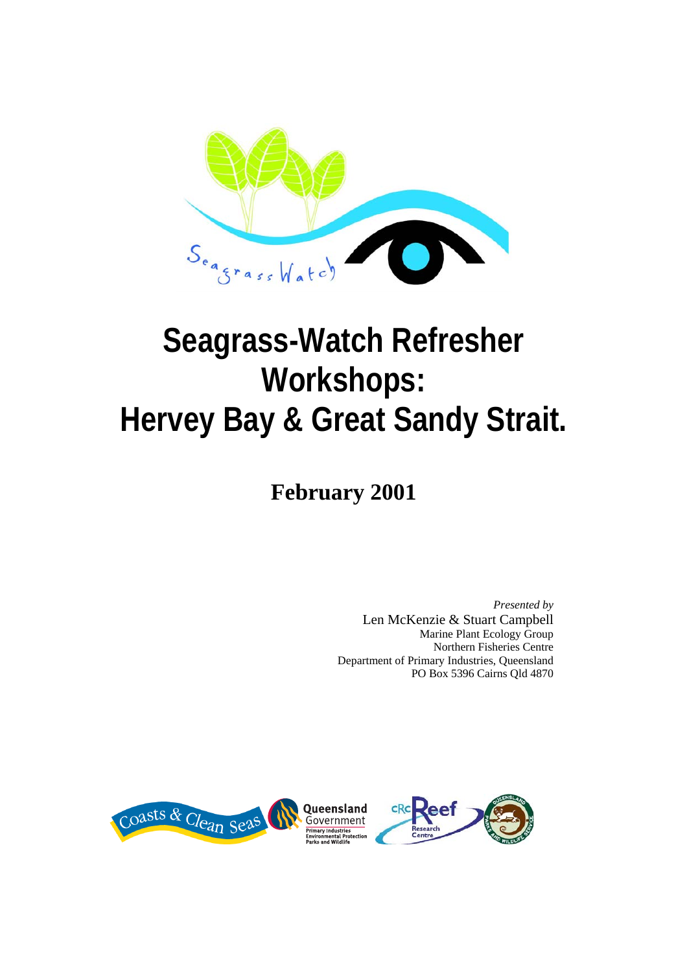

# **Seagrass-Watch Refresher Workshops: Hervey Bay & Great Sandy Strait.**

## **February 2001**

*Presented by*  Len McKenzie & Stuart Campbell Marine Plant Ecology Group Northern Fisheries Centre Department of Primary Industries, Queensland PO Box 5396 Cairns Qld 4870

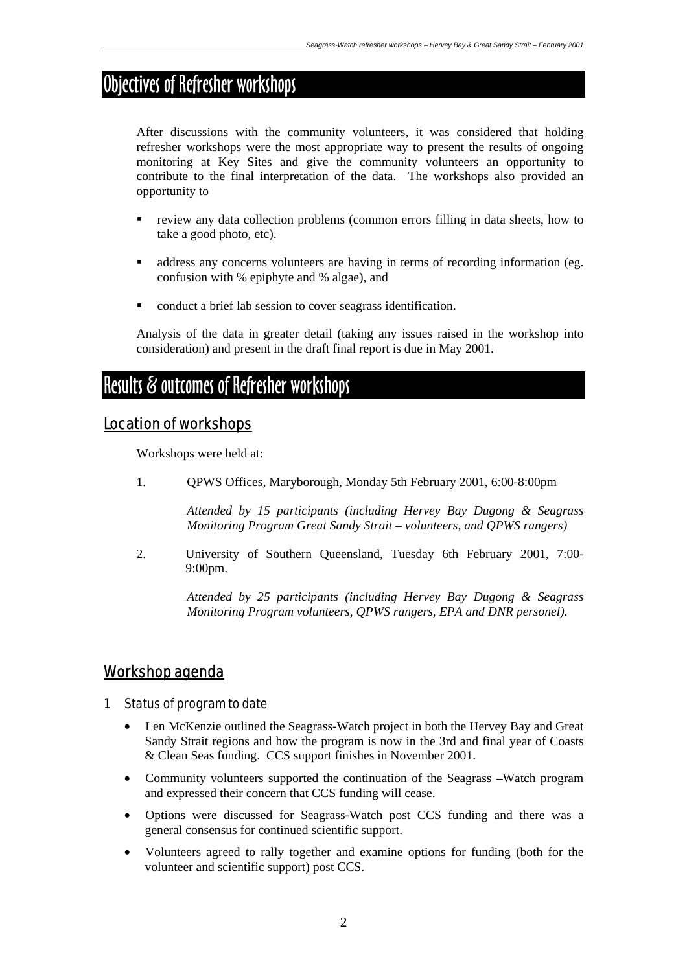### Objectives of Refresher workshops

After discussions with the community volunteers, it was considered that holding refresher workshops were the most appropriate way to present the results of ongoing monitoring at Key Sites and give the community volunteers an opportunity to contribute to the final interpretation of the data. The workshops also provided an opportunity to

- review any data collection problems (common errors filling in data sheets, how to take a good photo, etc).
- address any concerns volunteers are having in terms of recording information (eg. confusion with % epiphyte and % algae), and
- conduct a brief lab session to cover seagrass identification.

Analysis of the data in greater detail (taking any issues raised in the workshop into consideration) and present in the draft final report is due in May 2001.

### Results & outcomes of Refresher workshops

#### Location of workshops

Workshops were held at:

1. QPWS Offices, Maryborough, Monday 5th February 2001, 6:00-8:00pm

*Attended by 15 participants (including Hervey Bay Dugong & Seagrass Monitoring Program Great Sandy Strait – volunteers, and QPWS rangers)* 

2. University of Southern Queensland, Tuesday 6th February 2001, 7:00- 9:00pm.

> *Attended by 25 participants (including Hervey Bay Dugong & Seagrass Monitoring Program volunteers, QPWS rangers, EPA and DNR personel).*

#### Workshop agenda

#### 1 Status of program to date

- Len McKenzie outlined the Seagrass-Watch project in both the Hervey Bay and Great Sandy Strait regions and how the program is now in the 3rd and final year of Coasts & Clean Seas funding. CCS support finishes in November 2001.
- Community volunteers supported the continuation of the Seagrass –Watch program and expressed their concern that CCS funding will cease.
- Options were discussed for Seagrass-Watch post CCS funding and there was a general consensus for continued scientific support.
- Volunteers agreed to rally together and examine options for funding (both for the volunteer and scientific support) post CCS.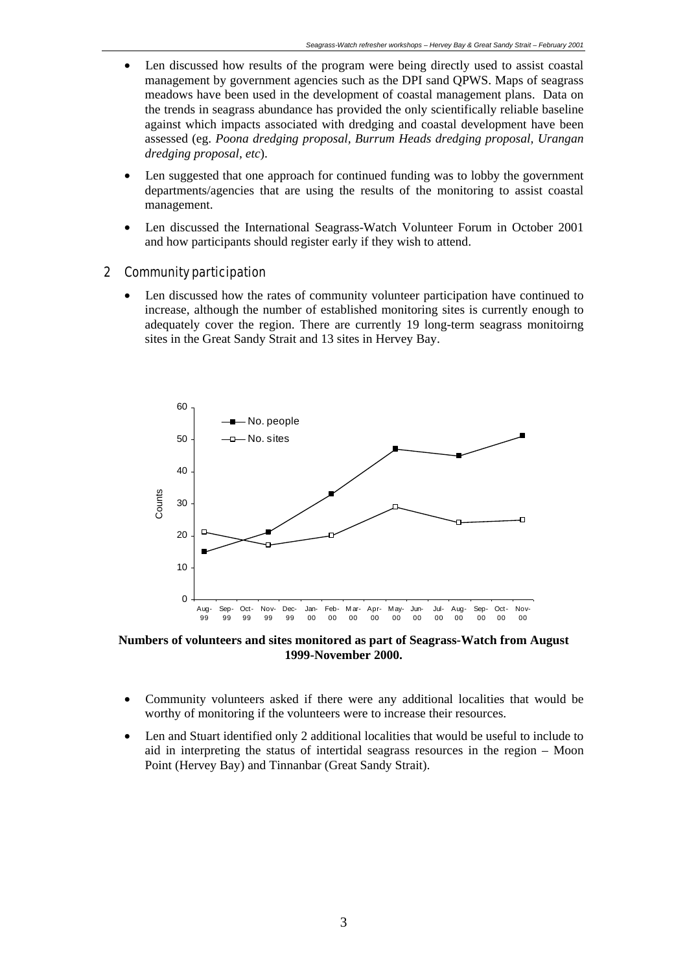- Len discussed how results of the program were being directly used to assist coastal management by government agencies such as the DPI sand QPWS. Maps of seagrass meadows have been used in the development of coastal management plans. Data on the trends in seagrass abundance has provided the only scientifically reliable baseline against which impacts associated with dredging and coastal development have been assessed (eg. *Poona dredging proposal, Burrum Heads dredging proposal, Urangan dredging proposal, etc*).
- Len suggested that one approach for continued funding was to lobby the government departments/agencies that are using the results of the monitoring to assist coastal management.
- Len discussed the International Seagrass-Watch Volunteer Forum in October 2001 and how participants should register early if they wish to attend.

#### 2 Community participation

• Len discussed how the rates of community volunteer participation have continued to increase, although the number of established monitoring sites is currently enough to adequately cover the region. There are currently 19 long-term seagrass monitoirng sites in the Great Sandy Strait and 13 sites in Hervey Bay.



**Numbers of volunteers and sites monitored as part of Seagrass-Watch from August 1999-November 2000.** 

- Community volunteers asked if there were any additional localities that would be worthy of monitoring if the volunteers were to increase their resources.
- Len and Stuart identified only 2 additional localities that would be useful to include to aid in interpreting the status of intertidal seagrass resources in the region – Moon Point (Hervey Bay) and Tinnanbar (Great Sandy Strait).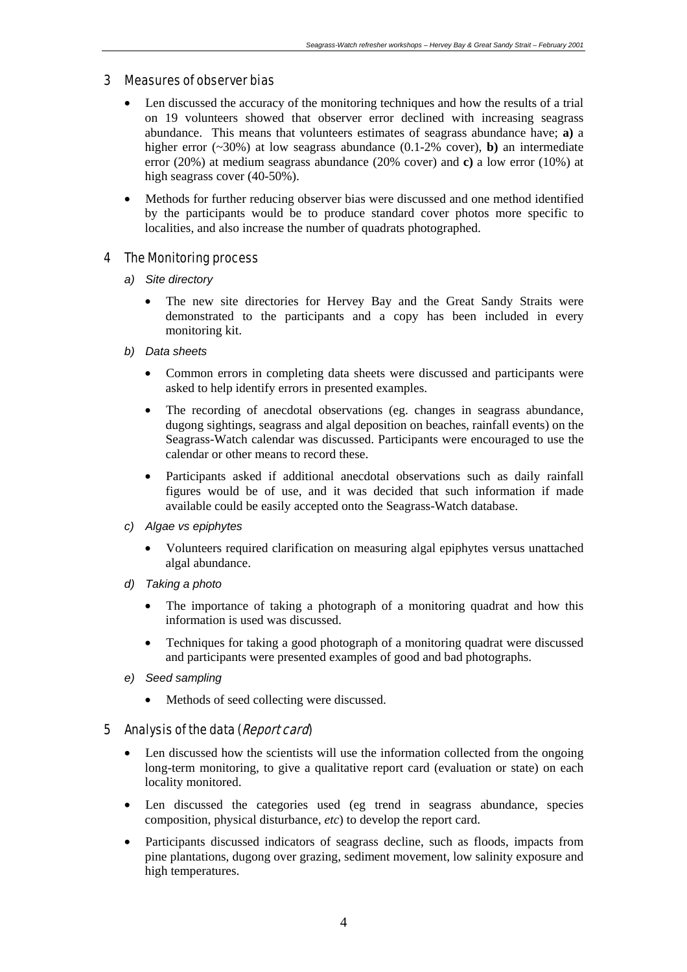#### 3 Measures of observer bias

- Len discussed the accuracy of the monitoring techniques and how the results of a trial on 19 volunteers showed that observer error declined with increasing seagrass abundance. This means that volunteers estimates of seagrass abundance have; **a)** a higher error (~30%) at low seagrass abundance (0.1-2% cover), **b**) an intermediate error (20%) at medium seagrass abundance (20% cover) and **c)** a low error (10%) at high seagrass cover (40-50%).
- Methods for further reducing observer bias were discussed and one method identified by the participants would be to produce standard cover photos more specific to localities, and also increase the number of quadrats photographed.

#### 4 The Monitoring process

- *a) Site directory* 
	- The new site directories for Hervey Bay and the Great Sandy Straits were demonstrated to the participants and a copy has been included in every monitoring kit.
- *b) Data sheets* 
	- Common errors in completing data sheets were discussed and participants were asked to help identify errors in presented examples.
	- The recording of anecdotal observations (eg. changes in seagrass abundance, dugong sightings, seagrass and algal deposition on beaches, rainfall events) on the Seagrass-Watch calendar was discussed. Participants were encouraged to use the calendar or other means to record these.
	- Participants asked if additional anecdotal observations such as daily rainfall figures would be of use, and it was decided that such information if made available could be easily accepted onto the Seagrass-Watch database.
- *c) Algae vs epiphytes* 
	- Volunteers required clarification on measuring algal epiphytes versus unattached algal abundance.
- *d) Taking a photo* 
	- The importance of taking a photograph of a monitoring quadrat and how this information is used was discussed.
	- Techniques for taking a good photograph of a monitoring quadrat were discussed and participants were presented examples of good and bad photographs.
- *e) Seed sampling* 
	- Methods of seed collecting were discussed.

#### 5 Analysis of the data (*Report card*)

- Len discussed how the scientists will use the information collected from the ongoing long-term monitoring, to give a qualitative report card (evaluation or state) on each locality monitored.
- Len discussed the categories used (eg trend in seagrass abundance, species composition, physical disturbance, *etc*) to develop the report card.
- Participants discussed indicators of seagrass decline, such as floods, impacts from pine plantations, dugong over grazing, sediment movement, low salinity exposure and high temperatures.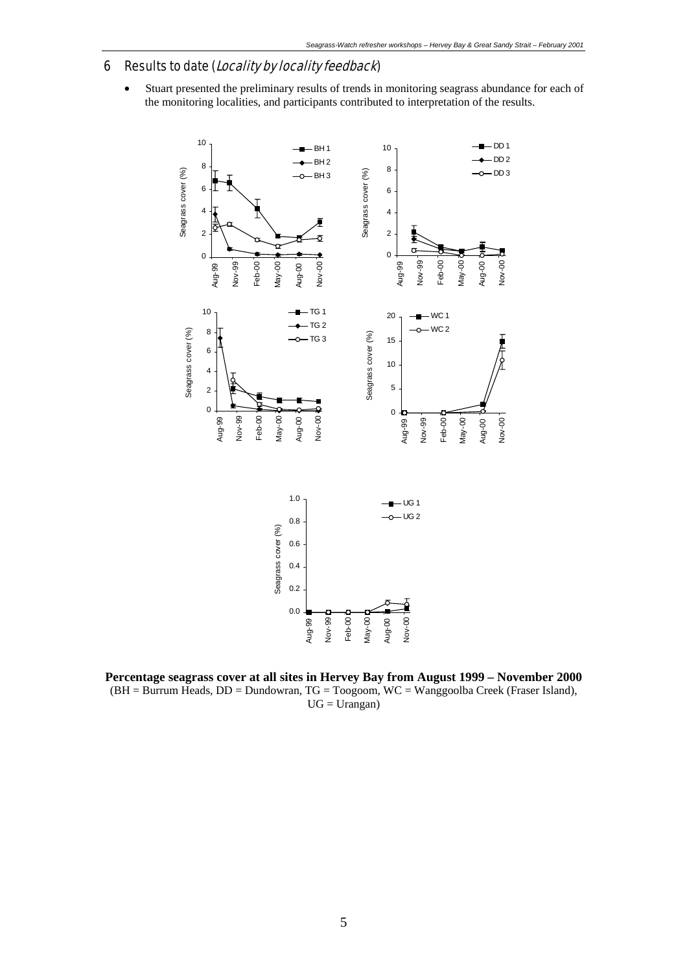#### 6 Results to date (Locality by locality feedback)

• Stuart presented the preliminary results of trends in monitoring seagrass abundance for each of the monitoring localities, and participants contributed to interpretation of the results.



**Percentage seagrass cover at all sites in Hervey Bay from August 1999 – November 2000** (BH = Burrum Heads, DD = Dundowran, TG = Toogoom, WC = Wanggoolba Creek (Fraser Island), UG = Urangan)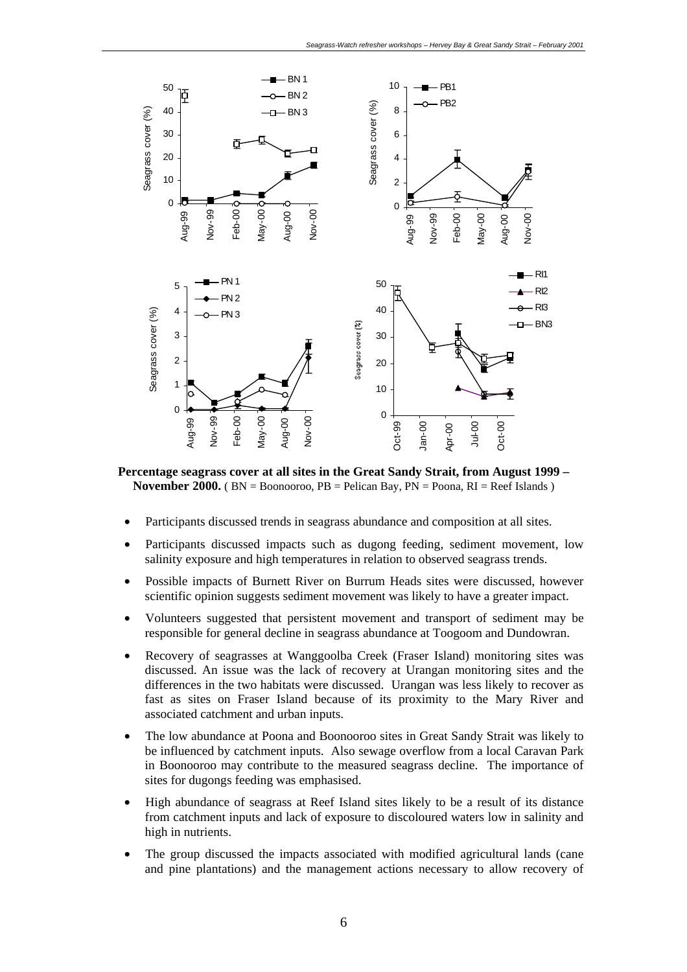

**Percentage seagrass cover at all sites in the Great Sandy Strait, from August 1999 – November 2000.** ( BN = Boonooroo, PB = Pelican Bay, PN = Poona, RI = Reef Islands )

- Participants discussed trends in seagrass abundance and composition at all sites.
- Participants discussed impacts such as dugong feeding, sediment movement, low salinity exposure and high temperatures in relation to observed seagrass trends.
- Possible impacts of Burnett River on Burrum Heads sites were discussed, however scientific opinion suggests sediment movement was likely to have a greater impact.
- Volunteers suggested that persistent movement and transport of sediment may be responsible for general decline in seagrass abundance at Toogoom and Dundowran.
- Recovery of seagrasses at Wanggoolba Creek (Fraser Island) monitoring sites was discussed. An issue was the lack of recovery at Urangan monitoring sites and the differences in the two habitats were discussed. Urangan was less likely to recover as fast as sites on Fraser Island because of its proximity to the Mary River and associated catchment and urban inputs.
- The low abundance at Poona and Boonooroo sites in Great Sandy Strait was likely to be influenced by catchment inputs. Also sewage overflow from a local Caravan Park in Boonooroo may contribute to the measured seagrass decline. The importance of sites for dugongs feeding was emphasised.
- High abundance of seagrass at Reef Island sites likely to be a result of its distance from catchment inputs and lack of exposure to discoloured waters low in salinity and high in nutrients.
- The group discussed the impacts associated with modified agricultural lands (cane and pine plantations) and the management actions necessary to allow recovery of